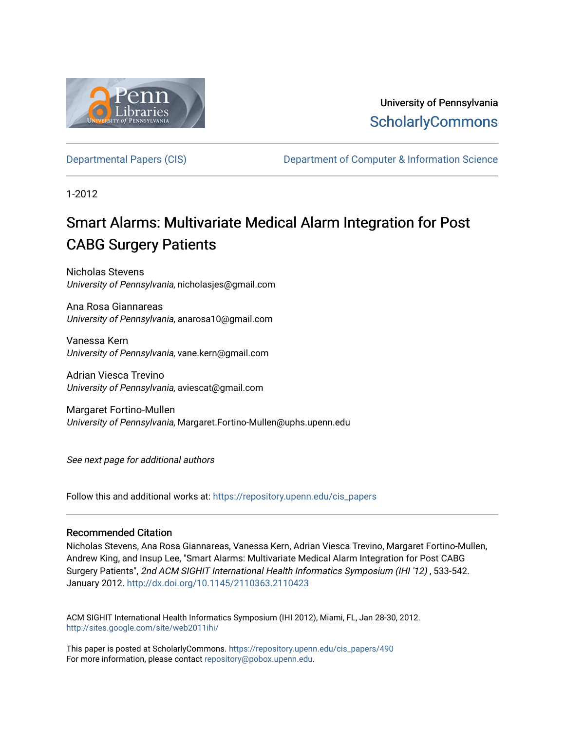

University of Pennsylvania **ScholarlyCommons** 

[Departmental Papers \(CIS\)](https://repository.upenn.edu/cis_papers) [Department of Computer & Information Science](https://repository.upenn.edu/cis) 

1-2012

# Smart Alarms: Multivariate Medical Alarm Integration for Post CABG Surgery Patients

Nicholas Stevens University of Pennsylvania, nicholasjes@gmail.com

Ana Rosa Giannareas University of Pennsylvania, anarosa10@gmail.com

Vanessa Kern University of Pennsylvania, vane.kern@gmail.com

Adrian Viesca Trevino University of Pennsylvania, aviescat@gmail.com

Margaret Fortino-Mullen University of Pennsylvania, Margaret.Fortino-Mullen@uphs.upenn.edu

See next page for additional authors

Follow this and additional works at: [https://repository.upenn.edu/cis\\_papers](https://repository.upenn.edu/cis_papers?utm_source=repository.upenn.edu%2Fcis_papers%2F490&utm_medium=PDF&utm_campaign=PDFCoverPages)

## Recommended Citation

Nicholas Stevens, Ana Rosa Giannareas, Vanessa Kern, Adrian Viesca Trevino, Margaret Fortino-Mullen, Andrew King, and Insup Lee, "Smart Alarms: Multivariate Medical Alarm Integration for Post CABG Surgery Patients", 2nd ACM SIGHIT International Health Informatics Symposium (IHI '12) , 533-542. January 2012. <http://dx.doi.org/10.1145/2110363.2110423>

ACM SIGHIT International Health Informatics Symposium (IHI 2012), Miami, FL, Jan 28-30, 2012. <http://sites.google.com/site/web2011ihi/>

This paper is posted at ScholarlyCommons. [https://repository.upenn.edu/cis\\_papers/490](https://repository.upenn.edu/cis_papers/490)  For more information, please contact [repository@pobox.upenn.edu.](mailto:repository@pobox.upenn.edu)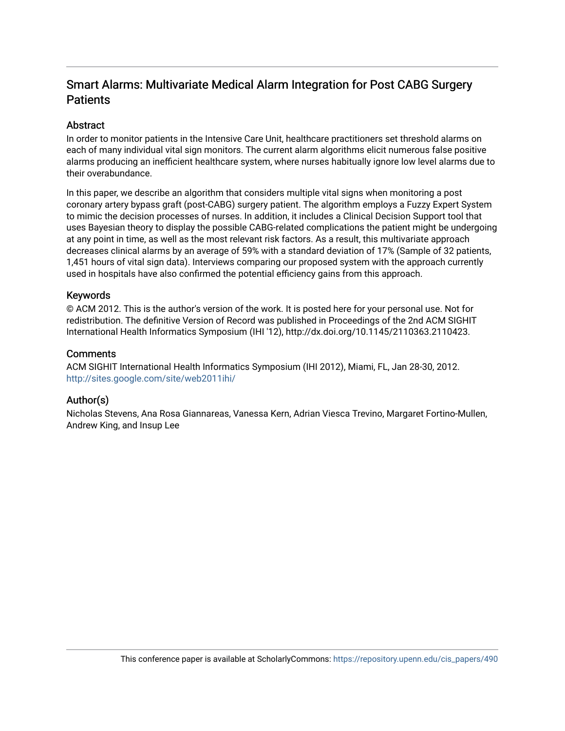## Smart Alarms: Multivariate Medical Alarm Integration for Post CABG Surgery **Patients**

## **Abstract**

In order to monitor patients in the Intensive Care Unit, healthcare practitioners set threshold alarms on each of many individual vital sign monitors. The current alarm algorithms elicit numerous false positive alarms producing an inefficient healthcare system, where nurses habitually ignore low level alarms due to their overabundance.

In this paper, we describe an algorithm that considers multiple vital signs when monitoring a post coronary artery bypass graft (post-CABG) surgery patient. The algorithm employs a Fuzzy Expert System to mimic the decision processes of nurses. In addition, it includes a Clinical Decision Support tool that uses Bayesian theory to display the possible CABG-related complications the patient might be undergoing at any point in time, as well as the most relevant risk factors. As a result, this multivariate approach decreases clinical alarms by an average of 59% with a standard deviation of 17% (Sample of 32 patients, 1,451 hours of vital sign data). Interviews comparing our proposed system with the approach currently used in hospitals have also confirmed the potential efficiency gains from this approach.

## Keywords

© ACM 2012. This is the author's version of the work. It is posted here for your personal use. Not for redistribution. The definitive Version of Record was published in Proceedings of the 2nd ACM SIGHIT International Health Informatics Symposium (IHI '12), http://dx.doi.org/10.1145/2110363.2110423.

## **Comments**

ACM SIGHIT International Health Informatics Symposium (IHI 2012), Miami, FL, Jan 28-30, 2012. <http://sites.google.com/site/web2011ihi/>

## Author(s)

Nicholas Stevens, Ana Rosa Giannareas, Vanessa Kern, Adrian Viesca Trevino, Margaret Fortino-Mullen, Andrew King, and Insup Lee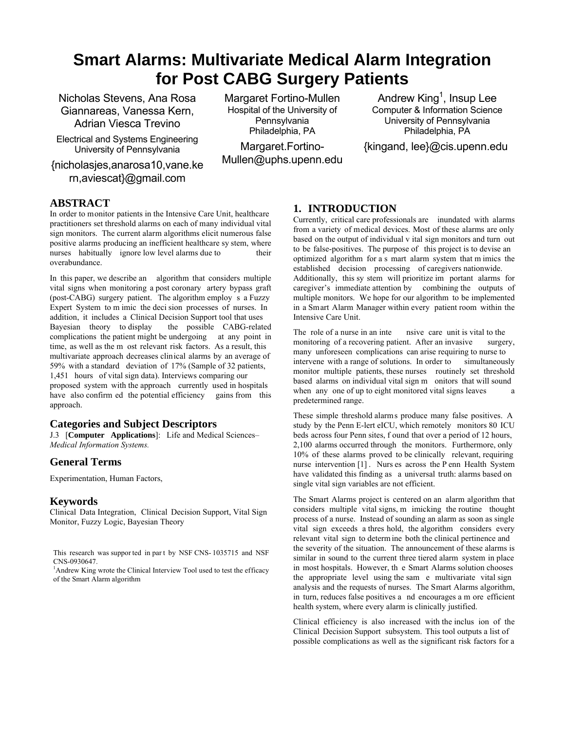## **Smart Alarms: Multivariate Medical Alarm Integration for Post CABG Surgery Patients**

Nicholas Stevens, Ana Rosa Giannareas, Vanessa Kern, Adrian Viesca Trevino

Electrical and Systems Engineering University of Pennsylvania

{nicholasjes,anarosa10,vane.ke rn,aviescat}@gmail.com

Margaret Fortino-Mullen Hospital of the University of **Pennsylvania** Philadelphia, PA

Margaret.Fortino-Mullen@uphs.upenn.edu

Andrew King $^1$ , Insup Lee Computer & Information Science University of Pennsylvania Philadelphia, PA

{kingand, lee}@cis.upenn.edu

## **ABSTRACT**

In order to monitor patients in the Intensive Care Unit, healthcare practitioners set threshold alarms on each of many individual vital sign monitors. The current alarm algorithms elicit numerous false positive alarms producing an inefficient healthcare sy stem, where nurses habitually ignore low level alarms due to their overabundance.

In this paper, we describe an algorithm that considers multiple vital signs when monitoring a post coronary artery bypass graft (post-CABG) surgery patient. The algorithm employ s a Fuzzy Expert System to m imic the deci sion processes of nurses. In addition, it includes a Clinical Decision Support tool that uses Bayesian theory to display the possible CABG-related complications the patient might be undergoing at any point in time, as well as the m ost relevant risk factors. As a result, this multivariate approach decreases clinical alarms by an average of 59% with a standard deviation of 17% (Sample of 32 patients, 1,451 hours of vital sign data). Interviews comparing our proposed system with the approach currently used in hospitals have also confirm ed the potential efficiency gains from this approach.

#### **Categories and Subject Descriptors**

J.3 [**Computer Applications**]: Life and Medical Sciences– *Medical Information Systems.* 

#### **General Terms**

Experimentation, Human Factors,

#### **Keywords**

Clinical Data Integration, Clinical Decision Support, Vital Sign Monitor, Fuzzy Logic, Bayesian Theory

This research was suppor ted in par t by NSF CNS- 1035715 and NSF CNS-0930647.

<sup>1</sup>Andrew King wrote the Clinical Interview Tool used to test the efficacy of the Smart Alarm algorithm

## **1. INTRODUCTION**

Currently, critical care professionals are inundated with alarms from a variety of medical devices. Most of these alarms are only based on the output of individual v ital sign monitors and turn out to be false-positives. The purpose of this project is to devise an optimized algorithm for a s mart alarm system that m imics the established decision processing of caregivers nationwide. Additionally, this sy stem will prioritize im portant alarms for caregiver's immediate attention by combining the outputs of multiple monitors. We hope for our algorithm to be implemented in a Smart Alarm Manager within every patient room within the Intensive Care Unit.

The role of a nurse in an inte nsive care unit is vital to the monitoring of a recovering patient. After an invasive surgery, many unforeseen complications can arise requiring to nurse to intervene with a range of solutions. In order to simultaneously monitor multiple patients, these nurses routinely set threshold based alarms on individual vital sign m onitors that will sound when any one of up to eight monitored vital signs leaves a predetermined range.

These simple threshold alarms produce many false positives. A study by the Penn E-lert eICU, which remotely monitors 80 ICU beds across four Penn sites, f ound that over a period of 12 hours, 2,100 alarms occurred through the monitors. Furthermore, only 10% of these alarms proved to be clinically relevant, requiring nurse intervention [1] . Nurs es across the P enn Health System have validated this finding as a universal truth: alarms based on single vital sign variables are not efficient.

The Smart Alarms project is centered on an alarm algorithm that considers multiple vital signs, m imicking the routine thought process of a nurse. Instead of sounding an alarm as soon as single vital sign exceeds a thres hold, the algorithm considers every relevant vital sign to determ ine both the clinical pertinence and the severity of the situation. The announcement of these alarms is similar in sound to the current three tiered alarm system in place in most hospitals. However, th e Smart Alarms solution chooses the appropriate level using the sam e multivariate vital sign analysis and the requests of nurses. The Smart Alarms algorithm, in turn, reduces false positives a nd encourages a m ore efficient health system, where every alarm is clinically justified.

Clinical efficiency is also increased with the inclus ion of the Clinical Decision Support subsystem. This tool outputs a list of possible complications as well as the significant risk factors for a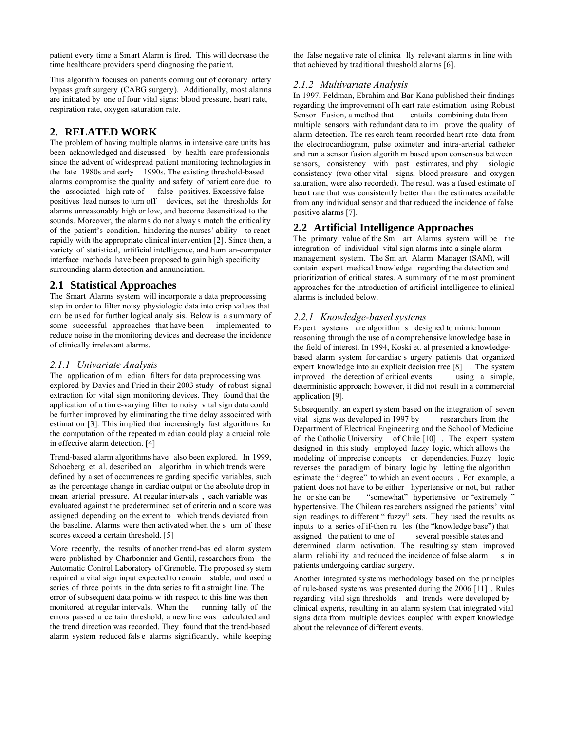patient every time a Smart Alarm is fired. This will decrease the time healthcare providers spend diagnosing the patient.

This algorithm focuses on patients coming out of coronary artery bypass graft surgery (CABG surgery). Additionally, most alarms are initiated by one of four vital signs: blood pressure, heart rate, respiration rate, oxygen saturation rate.

## **2. RELATED WORK**

The problem of having multiple alarms in intensive care units has been acknowledged and discussed by health care professionals since the advent of widespread patient monitoring technologies in the late 1980s and early 1990s. The existing threshold-based alarms compromise the quality and safety of patient care due to the associated high rate of false positives. Excessive false positives lead nurses to turn off devices, set the thresholds for alarms unreasonably high or low, and become desensitized to the sounds. Moreover, the alarms do not alway s match the criticality of the patient's condition, hindering the nurses' ability to react rapidly with the appropriate clinical intervention [2]. Since then, a variety of statistical, artificial intelligence, and hum an-computer interface methods have been proposed to gain high specificity surrounding alarm detection and annunciation.

#### **2.1 Statistical Approaches**

The Smart Alarms system will incorporate a data preprocessing step in order to filter noisy physiologic data into crisp values that can be used for further logical analy sis. Below is a summary of some successful approaches that have been implemented to reduce noise in the monitoring devices and decrease the incidence of clinically irrelevant alarms.

#### *2.1.1 Univariate Analysis*

The application of m edian filters for data preprocessing was explored by Davies and Fried in their 2003 study of robust signal extraction for vital sign monitoring devices. They found that the application of a tim e-varying filter to noisy vital sign data could be further improved by eliminating the time delay associated with estimation [3]. This implied that increasingly fast algorithms for the computation of the repeated m edian could play a crucial role in effective alarm detection. [4]

Trend-based alarm algorithms have also been explored. In 1999, Schoeberg et al. described an algorithm in which trends were defined by a set of occurrences re garding specific variables, such as the percentage change in cardiac output or the absolute drop in mean arterial pressure. At regular intervals , each variable was evaluated against the predetermined set of criteria and a score was assigned depending on the extent to which trends deviated from the baseline. Alarms were then activated when the s um of these scores exceed a certain threshold. [5]

More recently, the results of another trend-bas ed alarm system were published by Charbonnier and Gentil, researchers from the Automatic Control Laboratory of Grenoble. The proposed sy stem required a vital sign input expected to remain stable, and used a series of three points in the data series to fit a straight line. The error of subsequent data points w ith respect to this line was then monitored at regular intervals. When the running tally of the errors passed a certain threshold, a new line was calculated and the trend direction was recorded. They found that the trend-based alarm system reduced fals e alarms significantly, while keeping

the false negative rate of clinica lly relevant alarm s in line with that achieved by traditional threshold alarms [6].

#### *2.1.2 Multivariate Analysis*

In 1997, Feldman, Ebrahim and Bar-Kana published their findings regarding the improvement of h eart rate estimation using Robust Sensor Fusion, a method that entails combining data from multiple sensors with redundant data to im prove the quality of alarm detection. The res earch team recorded heart rate data from the electrocardiogram, pulse oximeter and intra-arterial catheter and ran a sensor fusion algorith m based upon consensus between sensors, consistency with past estimates, and phy siologic consistency (two other vital signs, blood pressure and oxygen saturation, were also recorded). The result was a fused estimate of heart rate that was consistently better than the estimates available from any individual sensor and that reduced the incidence of false positive alarms [7].

#### **2.2 Artificial Intelligence Approaches**

The primary value of the Sm art Alarms system will be the integration of individual vital sign alarms into a single alarm management system. The Sm art Alarm Manager (SAM), will contain expert medical knowledge regarding the detection and prioritization of critical states. A summary of the most prominent approaches for the introduction of artificial intelligence to clinical alarms is included below.

## *2.2.1 Knowledge-based systems*

Expert systems are algorithm s designed to mimic human reasoning through the use of a comprehensive knowledge base in the field of interest. In 1994, Koski et. al presented a knowledgebased alarm system for cardiac s urgery patients that organized expert knowledge into an explicit decision tree [8] . The system improved the detection of critical events using a simple, deterministic approach; however, it did not result in a commercial application [9].

Subsequently, an expert sy stem based on the integration of seven vital signs was developed in 1997 by researchers from the Department of Electrical Engineering and the School of Medicine of the Catholic University of Chile [10] . The expert system designed in this study employed fuzzy logic, which allows the modeling of imprecise concepts or dependencies. Fuzzy logic reverses the paradigm of binary logic by letting the algorithm estimate the " degree" to which an event occurs . For example, a patient does not have to be either hypertensive or not, but rather he or she can be "somewhat" hypertensive or "extremely" hypertensive. The Chilean researchers assigned the patients' vital sign readings to different " fuzzy" sets. They used the res ults as inputs to a series of if-then ru les (the "knowledge base") that assigned the patient to one of several possible states and determined alarm activation. The resulting sy stem improved alarm reliability and reduced the incidence of false alarm s in patients undergoing cardiac surgery.

Another integrated systems methodology based on the principles of rule-based systems was presented during the 2006 [11] . Rules regarding vital sign thresholds and trends were developed by clinical experts, resulting in an alarm system that integrated vital signs data from multiple devices coupled with expert knowledge about the relevance of different events.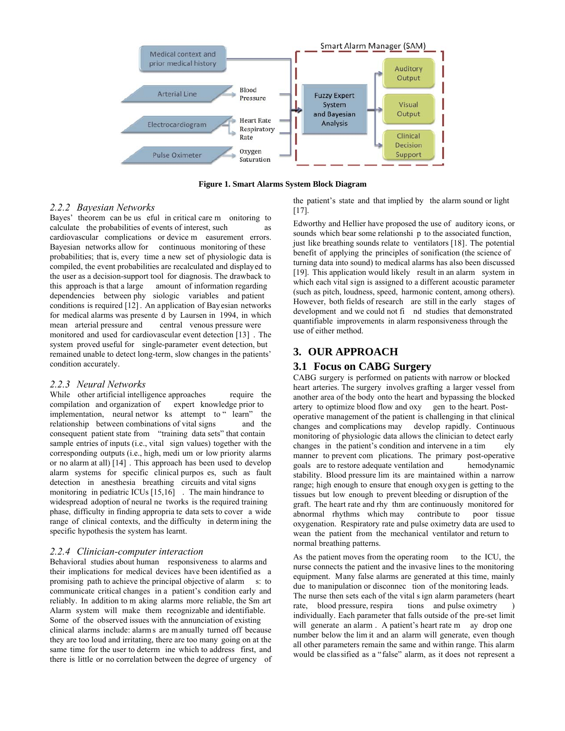

**Figure 1. Smart Alarms System Block Diagram** 

#### *2.2.2 Bayesian Networks*

Bayes' theorem can be us eful in critical care m onitoring to calculate the probabilities of events of interest, such as cardiovascular complications or device m easurement errors. Bayesian networks allow for continuous monitoring of these probabilities; that is, every time a new set of physiologic data is compiled, the event probabilities are recalculated and displayed to the user as a decision-support tool for diagnosis. The drawback to this approach is that a large amount of information regarding dependencies between phy siologic variables and patient conditions is required [12] . An application of Bayesian networks for medical alarms was presented by Laursen in 1994, in which<br>mean arterial pressure and central venous pressure were central venous pressure were monitored and used for cardiovascular event detection [13] . The system proved useful for single-parameter event detection, but remained unable to detect long-term, slow changes in the patients' condition accurately.

#### *2.2.3 Neural Networks*

While other artificial intelligence approaches require the compilation and organization of expert knowledge prior to implementation, neural networ ks attempt to " learn" the relationship between combinations of vital signs and the consequent patient state from "training data sets" that contain sample entries of inputs (i.e., vital sign values) together with the corresponding outputs (i.e., high, medi um or low priority alarms or no alarm at all) [14] . This approach has been used to develop alarm systems for specific clinical purpos es, such as fault detection in anesthesia breathing circuits and vital signs monitoring in pediatric ICUs [15,16]. The main hindrance to widespread adoption of neural ne tworks is the required training phase, difficulty in finding appropria te data sets to cover a wide range of clinical contexts, and the difficulty in determ ining the specific hypothesis the system has learnt.

#### *2.2.4 Clinician-computer interaction*

Behavioral studies about human responsiveness to alarms and their implications for medical devices have been identified as a promising path to achieve the principal objective of alarm s: to communicate critical changes in a patient's condition early and reliably. In addition to m aking alarms more reliable, the Sm art Alarm system will make them recognizable and identifiable. Some of the observed issues with the annunciation of existing clinical alarms include: alarm s are m anually turned off because they are too loud and irritating, there are too many going on at the same time for the user to determ ine which to address first, and there is little or no correlation between the degree of urgency of the patient's state and that implied by the alarm sound or light [17].

Edworthy and Hellier have proposed the use of auditory icons, or sounds which bear some relationshi p to the associated function, just like breathing sounds relate to ventilators [18]. The potential benefit of applying the principles of sonification (the science of turning data into sound) to medical alarms has also been discussed [19]. This application would likely result in an alarm system in which each vital sign is assigned to a different acoustic parameter (such as pitch, loudness, speed, harmonic content, among others). However, both fields of research are still in the early stages of development and we could not fi nd studies that demonstrated quantifiable improvements in alarm responsiveness through the use of either method.

## **3. OUR APPROACH**

#### **3.1 Focus on CABG Surgery**

CABG surgery is performed on patients with narrow or blocked heart arteries. The surgery involves grafting a larger vessel from another area of the body onto the heart and bypassing the blocked artery to optimize blood flow and oxy gen to the heart. Postoperative management of the patient is challenging in that clinical changes and complications may develop rapidly. Continuous monitoring of physiologic data allows the clinician to detect early changes in the patient's condition and intervene in a tim ely manner to prevent com plications. The primary post-operative goals are to restore adequate ventilation and hemodynamic stability. Blood pressure lim its are maintained within a narrow range; high enough to ensure that enough oxygen is getting to the tissues but low enough to prevent bleeding or disruption of the graft. The heart rate and rhy thm are continuously monitored for abnormal rhythms which may contribute to poor tissue oxygenation. Respiratory rate and pulse oximetry data are used to wean the patient from the mechanical ventilator and return to normal breathing patterns.

As the patient moves from the operating room to the ICU, the nurse connects the patient and the invasive lines to the monitoring equipment. Many false alarms are generated at this time, mainly due to manipulation or disconnec tion of the monitoring leads. The nurse then sets each of the vital s ign alarm parameters (heart rate, blood pressure, respira tions and pulse oximetry individually. Each parameter that falls outside of the pre-set limit will generate an alarm. A patient's heart rate m ay drop one number below the lim it and an alarm will generate, even though all other parameters remain the same and within range. This alarm would be classified as a "false" alarm, as it does not represent a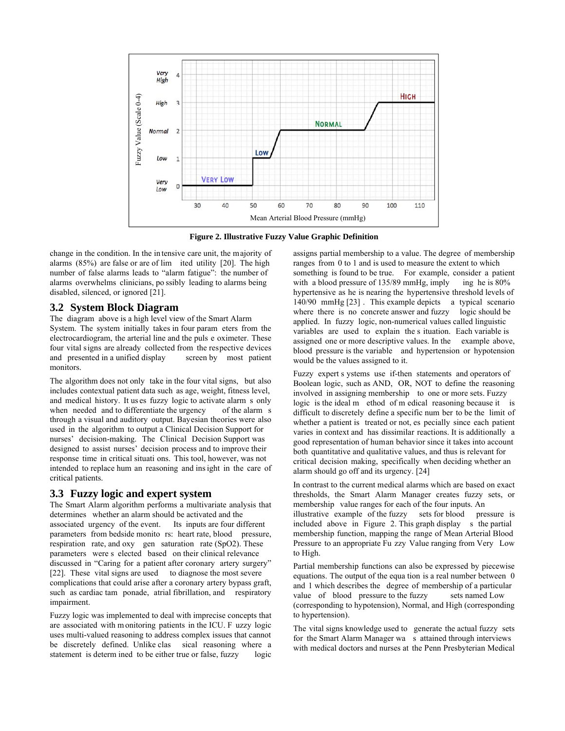

**Figure 2. Illustrative Fuzzy Value Graphic Definition** 

change in the condition. In the in tensive care unit, the majority of alarms (85%) are false or are of lim ited utility [20]. The high number of false alarms leads to "alarm fatigue": the number of alarms overwhelms clinicians, po ssibly leading to alarms being disabled, silenced, or ignored [21].

#### **3.2 System Block Diagram**

The diagram above is a high level view of the Smart Alarm System. The system initially takes in four param eters from the electrocardiogram, the arterial line and the puls e oximeter. These four vital signs are already collected from the respective devices and presented in a unified display screen by most patient monitors.

The algorithm does not only take in the four vital signs, but also includes contextual patient data such as age, weight, fitness level, and medical history. It us es fuzzy logic to activate alarm s only when needed and to differentiate the urgency of the alarm s when needed and to differentiate the urgency through a visual and auditory output. Bayesian theories were also used in the algorithm to output a Clinical Decision Support for nurses' decision-making. The Clinical Decision Support was designed to assist nurses' decision process and to improve their response time in critical situati ons. This tool, however, was not intended to replace hum an reasoning and ins ight in the care of critical patients.

#### **3.3 Fuzzy logic and expert system**

The Smart Alarm algorithm performs a multivariate analysis that determines whether an alarm should be activated and the associated urgency of the event. Its inputs are four different parameters from bedside monito rs: heart rate, blood pressure, respiration rate, and oxy gen saturation rate (SpO2). These parameters were s elected based on their clinical relevance discussed in "Caring for a patient after coronary artery surgery" [22]. These vital signs are used to diagnose the most severe complications that could arise after a coronary artery bypass graft, such as cardiac tam ponade, atrial fibrillation, and respiratory impairment.

Fuzzy logic was implemented to deal with imprecise concepts that are associated with m onitoring patients in the ICU. F uzzy logic uses multi-valued reasoning to address complex issues that cannot be discretely defined. Unlike clas sical reasoning where a statement is determ ined to be either true or false, fuzzy logic

assigns partial membership to a value. The degree of membership ranges from 0 to 1 and is used to measure the extent to which something is found to be true. For example, consider a patient with a blood pressure of  $135/89$  mmHg, imply ing he is  $80\%$ hypertensive as he is nearing the hypertensive threshold levels of 140/90 mmHg [23] . This example depicts a typical scenario where there is no concrete answer and fuzzy logic should be applied. In fuzzy logic, non-numerical values called linguistic variables are used to explain the s ituation. Each variable is assigned one or more descriptive values. In the example above, blood pressure is the variable and hypertension or hypotension would be the values assigned to it.

Fuzzy expert s ystems use if-then statements and operators of Boolean logic, such as AND, OR, NOT to define the reasoning involved in assigning membership to one or more sets. Fuzzy logic is the ideal m ethod of m edical reasoning because it is difficult to discretely define a specific num ber to be the limit of whether a patient is treated or not, es pecially since each patient varies in context and has dissimilar reactions. It is additionally a good representation of human behavior since it takes into account both quantitative and qualitative values, and thus is relevant for critical decision making, specifically when deciding whether an alarm should go off and its urgency. [24]

In contrast to the current medical alarms which are based on exact thresholds, the Smart Alarm Manager creates fuzzy sets, or membership value ranges for each of the four inputs. An illustrative example of the fuzzy sets for blood pressure is included above in Figure 2. This graph display s the partial membership function, mapping the range of Mean Arterial Blood Pressure to an appropriate Fu zzy Value ranging from Very Low to High.

Partial membership functions can also be expressed by piecewise equations. The output of the equa tion is a real number between 0 and 1 which describes the degree of membership of a particular value of blood pressure to the fuzzy sets named Low value of blood pressure to the fuzzy (corresponding to hypotension), Normal, and High (corresponding to hypertension).

The vital signs knowledge used to generate the actual fuzzy sets for the Smart Alarm Manager wa s attained through interviews with medical doctors and nurses at the Penn Presbyterian Medical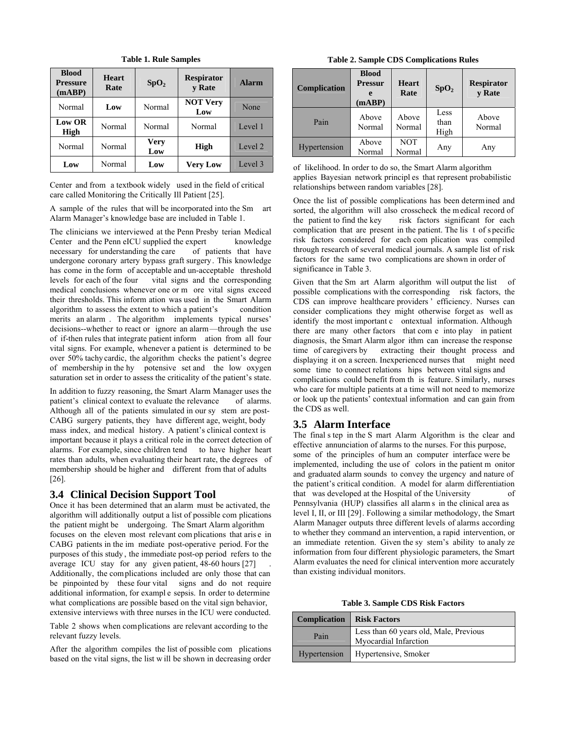| <b>Blood</b><br><b>Pressure</b><br>(mABP) | <b>Heart</b><br>Rate | SpO <sub>2</sub>   | <b>Respirator</b><br>y Rate | <b>Alarm</b>       |
|-------------------------------------------|----------------------|--------------------|-----------------------------|--------------------|
| Normal                                    | Low                  | Normal             | <b>NOT Very</b><br>Low      | None               |
| <b>Low OR</b><br><b>High</b>              | Normal               | Normal             | Normal                      | Level 1            |
| Normal                                    | Normal               | <b>Very</b><br>Low | High                        | Level <sub>2</sub> |
| Low                                       | Normal               | Low                | <b>Very Low</b>             | Level 3            |

**Table 1. Rule Samples** 

Center and from a textbook widely used in the field of critical care called Monitoring the Critically Ill Patient [25].

A sample of the rules that will be incorporated into the Sm art Alarm Manager's knowledge base are included in Table 1.

The clinicians we interviewed at the Penn Presby terian Medical Center and the Penn eICU supplied the expert knowledge necessary for understanding the care of patients that have undergone coronary artery bypass graft surgery. This knowledge has come in the form of acceptable and un-acceptable threshold levels for each of the four vital signs and the corresponding medical conclusions whenever one or m ore vital signs exceed their thresholds. This inform ation was used in the Smart Alarm algorithm to assess the extent to which a patient's condition merits an alarm . The algorithm implements typical nurses' decisions--whether to react or ignore an alarm—through the use of if-then rules that integrate patient inform ation from all four vital signs. For example, whenever a patient is determined to be over 50% tachy cardic, the algorithm checks the patient's degree of membership in the hy potensive set and the low oxygen saturation set in order to assess the criticality of the patient's state.

In addition to fuzzy reasoning, the Smart Alarm Manager uses the patient's clinical context to evaluate the relevance of alarms. patient's clinical context to evaluate the relevance Although all of the patients simulated in our sy stem are post-CABG surgery patients, they have different age, weight, body mass index, and medical history. A patient's clinical context is important because it plays a critical role in the correct detection of alarms. For example, since children tend to have higher heart rates than adults, when evaluating their heart rate, the degrees of membership should be higher and different from that of adults [26].

## **3.4 Clinical Decision Support Tool**

Once it has been determined that an alarm must be activated, the algorithm will additionally output a list of possible com plications the patient might be undergoing. The Smart Alarm algorithm focuses on the eleven most relevant com plications that aris e in CABG patients in the im mediate post-operative period. For the purposes of this study , the immediate post-op period refers to the average ICU stay for any given patient, 48-60 hours [27] Additionally, the complications included are only those that can be pinpointed by these four vital signs and do not require additional information, for exampl e sepsis. In order to determine what complications are possible based on the vital sign behavior, extensive interviews with three nurses in the ICU were conducted.

Table 2 shows when complications are relevant according to the relevant fuzzy levels.

After the algorithm compiles the list of possible com plications based on the vital signs, the list w ill be shown in decreasing order

**Table 2. Sample CDS Complications Rules** 

| <b>Complication</b> | <b>Blood</b><br><b>Pressur</b><br>e<br>(mABP) | <b>Heart</b><br>Rate | SpO <sub>2</sub>     | <b>Respirator</b><br><b>v</b> Rate |
|---------------------|-----------------------------------------------|----------------------|----------------------|------------------------------------|
| Pain                | Above<br>Normal                               | Above<br>Normal      | Less<br>than<br>High | Above<br>Normal                    |
| Hypertension        | Above<br>Normal                               | <b>NOT</b><br>Normal | Any                  | Any                                |

of likelihood. In order to do so, the Smart Alarm algorithm applies Bayesian network principl es that represent probabilistic relationships between random variables [28].

Once the list of possible complications has been determined and sorted, the algorithm will also crosscheck the m edical record of the patient to find the key risk factors significant for each complication that are present in the patient. The lis t of s pecific risk factors considered for each com plication was compiled through research of several medical journals. A sample list of risk factors for the same two complications are shown in order of significance in Table 3.

Given that the Sm art Alarm algorithm will output the list of possible complications with the corresponding risk factors, the CDS can improve healthcare providers ' efficiency. Nurses can consider complications they might otherwise forget as well as identify the most important c ontextual information. Although there are many other factors that com e into play in patient diagnosis, the Smart Alarm algor ithm can increase the response time of caregivers by extracting their thought process and displaying it on a screen. Inexperienced nurses that might need some time to connect relations hips between vital signs and complications could benefit from th is feature. S imilarly, nurses who care for multiple patients at a time will not need to memorize or look up the patients' contextual information and can gain from the CDS as well.

## **3.5 Alarm Interface**

The final s tep in the S mart Alarm Algorithm is the clear and effective annunciation of alarms to the nurses. For this purpose, some of the principles of hum an computer interface were be implemented, including the use of colors in the patient m onitor and graduated alarm sounds to convey the urgency and nature of the patient's critical condition. A model for alarm differentiation that was developed at the Hospital of the University of Pennsylvania (HUP) classifies all alarm s in the clinical area as level I, II, or III [29]. Following a similar methodology, the Smart Alarm Manager outputs three different levels of alarms according to whether they command an intervention, a rapid intervention, or an immediate retention. Given the sy stem's ability to analy ze information from four different physiologic parameters, the Smart Alarm evaluates the need for clinical intervention more accurately than existing individual monitors.

**Table 3. Sample CDS Risk Factors** 

| <b>Complication</b> | <b>Risk Factors</b>                                             |  |  |
|---------------------|-----------------------------------------------------------------|--|--|
| Pain                | Less than 60 years old, Male, Previous<br>Myocardial Infarction |  |  |
| Hypertension        | Hypertensive, Smoker                                            |  |  |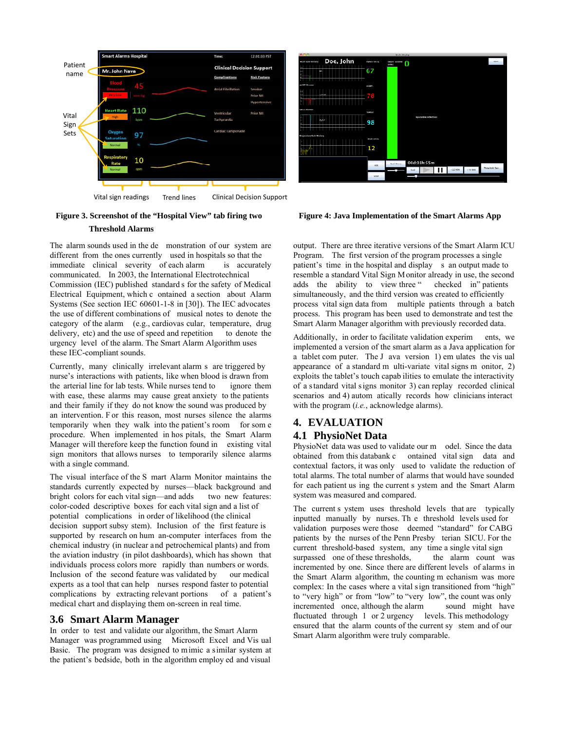



**Figure 3. Screenshot of the "Hospital View" tab firing two Figure 4: Java Implementation of the Smart Alarms App** 

#### **Threshold Alarms**

The alarm sounds used in the de monstration of our system are different from the ones currently used in hospitals so that the immediate clinical severity of each alarm is accurately communicated. In 2003, the International Electrotechnical Commission (IEC) published standard s for the safety of Medical Electrical Equipment, which c ontained a section about Alarm Systems (See section IEC 60601-1-8 in [30]). The IEC advocates the use of different combinations of musical notes to denote the category of the alarm (e.g., cardiovas cular, temperature, drug delivery, etc) and the use of speed and repetition to denote the urgency level of the alarm. The Smart Alarm Algorithm uses these IEC-compliant sounds.

Currently, many clinically irrelevant alarm s are triggered by nurse's interactions with patients, like when blood is drawn from<br>the arterial line for lab tests. While nurses tend to ignore them the arterial line for lab tests. While nurses tend to with ease, these alarms may cause great anxiety to the patients and their family if they do not know the sound was produced by an intervention. F or this reason, most nurses silence the alarms temporarily when they walk into the patient's room for some procedure. When implemented in hos pitals, the Smart Alarm Manager will therefore keep the function found in existing vital sign monitors that allows nurses to temporarily silence alarms with a single command.

The visual interface of the S mart Alarm Monitor maintains the standards currently expected by nurses—black background and bright colors for each vital sign—and adds two new features: color-coded descriptive boxes for each vital sign and a list of potential complications in order of likelihood (the clinical decision support subsy stem). Inclusion of the first feature is supported by research on hum an-computer interfaces from the chemical industry (in nuclear and petrochemical plants) and from the aviation industry (in pilot dashboards), which has shown that individuals process colors more rapidly than numbers or words. Inclusion of the second feature was validated by our medical experts as a tool that can help nurses respond faster to potential complications by extracting relevant portions of a patient's medical chart and displaying them on-screen in real time.

#### **3.6 Smart Alarm Manager**

In order to test and validate our algorithm, the Smart Alarm Manager was programmed using Microsoft Excel and Vis ual Basic. The program was designed to mimic a similar system at the patient's bedside, both in the algorithm employ ed and visual

output. There are three iterative versions of the Smart Alarm ICU Program. The first version of the program processes a single patient's time in the hospital and display s an output made to resemble a standard Vital Sign Monitor already in use, the second adds the ability to view three " checked in" patients simultaneously, and the third version was created to efficiently process vital sign data from multiple patients through a batch process. This program has been used to demonstrate and test the Smart Alarm Manager algorithm with previously recorded data.

Additionally, in order to facilitate validation experim ents, we implemented a version of the smart alarm as a Java application for a tablet com puter. The J ava version 1) em ulates the vis ual appearance of a standard m ulti-variate vital signs m onitor, 2) exploits the tablet's touch capab ilities to emulate the interactivity of a s tandard vital s igns monitor 3) can replay recorded clinical scenarios and 4) autom atically records how clinicians interact with the program (*i.e.*, acknowledge alarms).

## **4. EVALUATION**

## **4.1 PhysioNet Data**

PhysioNet data was used to validate our m odel. Since the data obtained from this databank c ontained vital sign data and contextual factors, it was only used to validate the reduction of total alarms. The total number of alarms that would have sounded for each patient us ing the current s ystem and the Smart Alarm system was measured and compared.

The current s ystem uses threshold levels that are typically inputted manually by nurses. Th e threshold levels used for validation purposes were those deemed "standard" for CABG patients by the nurses of the Penn Presby terian SICU. For the current threshold-based system, any time a single vital sign surpassed one of these thresholds, the alarm count was incremented by one. Since there are different levels of alarms in the Smart Alarm algorithm, the counting m echanism was more complex: In the cases where a vital sign transitioned from "high" to "very high" or from "low" to "very low", the count was only incremented once, although the alarm sound might have fluctuated through 1 or 2 urgency levels. This methodology ensured that the alarm counts of the current sy stem and of our Smart Alarm algorithm were truly comparable.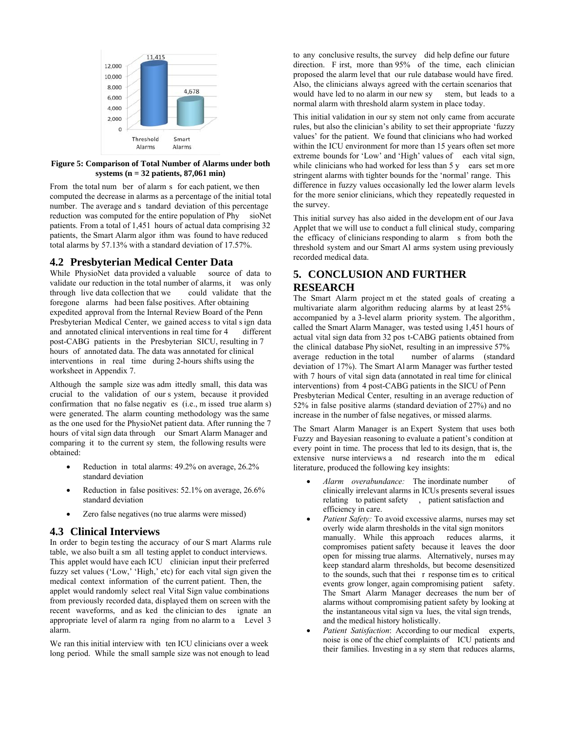

**Figure 5: Comparison of Total Number of Alarms under both systems (n = 32 patients, 87,061 min)** 

From the total num ber of alarm s for each patient, we then computed the decrease in alarms as a percentage of the initial total number. The average and s tandard deviation of this percentage reduction was computed for the entire population of Phy sioNet patients. From a total of 1,451 hours of actual data comprising 32 patients, the Smart Alarm algor ithm was found to have reduced total alarms by 57.13% with a standard deviation of 17.57%.

## **4.2 Presbyterian Medical Center Data**

While PhysioNet data provided a valuable source of data to validate our reduction in the total number of alarms, it was only through live data collection that we could validate that the foregone alarms had been false positives. After obtaining expedited approval from the Internal Review Board of the Penn Presbyterian Medical Center, we gained access to vital s ign data and annotated clinical interventions in real time for 4 different post-CABG patients in the Presbyterian SICU, resulting in 7 hours of annotated data. The data was annotated for clinical interventions in real time during 2-hours shifts using the worksheet in Appendix 7.

Although the sample size was adm ittedly small, this data was crucial to the validation of our s ystem, because it provided confirmation that no false negativ es (i.e., m issed true alarm s) were generated. The alarm counting methodology was the same as the one used for the PhysioNet patient data. After running the 7 hours of vital sign data through our Smart Alarm Manager and comparing it to the current sy stem, the following results were obtained:

- Reduction in total alarms: 49.2% on average, 26.2% standard deviation
- Reduction in false positives: 52.1% on average, 26.6% standard deviation
- Zero false negatives (no true alarms were missed)

#### **4.3 Clinical Interviews**

In order to begin tes ting the accuracy of our S mart Alarms rule table, we also built a sm all testing applet to conduct interviews. This applet would have each ICU clinician input their preferred fuzzy set values ('Low,' 'High,' etc) for each vital sign given the medical context information of the current patient. Then, the applet would randomly select real Vital Sign value combinations from previously recorded data, displayed them on screen with the recent waveforms, and as ked the clinician to des ignate an appropriate level of alarm ra nging from no alarm to a Level 3 alarm.

We ran this initial interview with ten ICU clinicians over a week long period. While the small sample size was not enough to lead to any conclusive results, the survey did help define our future direction. F irst, more than 95% of the time, each clinician proposed the alarm level that our rule database would have fired. Also, the clinicians always agreed with the certain scenarios that would have led to no alarm in our new sy stem, but leads to a would have led to no alarm in our new sy normal alarm with threshold alarm system in place today.

This initial validation in our sy stem not only came from accurate rules, but also the clinician's ability to set their appropriate 'fuzzy values' for the patient. We found that clinicians who had worked within the ICU environment for more than 15 years often set more extreme bounds for 'Low' and 'High' values of each vital sign, while clinicians who had worked for less than  $5y$  ears set m ore stringent alarms with tighter bounds for the 'normal' range. This difference in fuzzy values occasionally led the lower alarm levels for the more senior clinicians, which they repeatedly requested in the survey.

This initial survey has also aided in the developm ent of our Java Applet that we will use to conduct a full clinical study, comparing the efficacy of clinicians responding to alarm s from both the threshold system and our Smart Al arms system using previously recorded medical data.

## **5. CONCLUSION AND FURTHER RESEARCH**

The Smart Alarm project m et the stated goals of creating a multivariate alarm algorithm reducing alarms by at least 25% accompanied by a 3-level alarm priority system. The algorithm , called the Smart Alarm Manager, was tested using 1,451 hours of actual vital sign data from 32 pos t-CABG patients obtained from the clinical database Phy sioNet, resulting in an impressive 57% average reduction in the total number of alarms (standard number of alarms (standard deviation of 17%). The Smart Al arm Manager was further tested with 7 hours of vital sign data (annotated in real time for clinical interventions) from 4 post-CABG patients in the SICU of Penn Presbyterian Medical Center, resulting in an average reduction of 52% in false positive alarms (standard deviation of 27%) and no increase in the number of false negatives, or missed alarms.

The Smart Alarm Manager is an Expert System that uses both Fuzzy and Bayesian reasoning to evaluate a patient's condition at every point in time. The process that led to its design, that is, the extensive nurse interviews a nd research into the m edical literature, produced the following key insights:

- *Alarm overabundance:* The inordinate number of clinically irrelevant alarms in ICUs presents several issues relating to patient safety , patient satisfaction and efficiency in care.
- *Patient Safety:* To avoid excessive alarms, nurses may set overly wide alarm thresholds in the vital sign monitors manually. While this approach reduces alarms, it compromises patient safety because it leaves the door open for missing true alarms. Alternatively, nurses m ay keep standard alarm thresholds, but become desensitized to the sounds, such that thei r response tim es to critical events grow longer, again compromising patient safety. The Smart Alarm Manager decreases the num ber of alarms without compromising patient safety by looking at the instantaneous vital sign va lues, the vital sign trends, and the medical history holistically.
- *Patient Satisfaction*: According to our medical experts, noise is one of the chief complaints of ICU patients and their families. Investing in a sy stem that reduces alarms,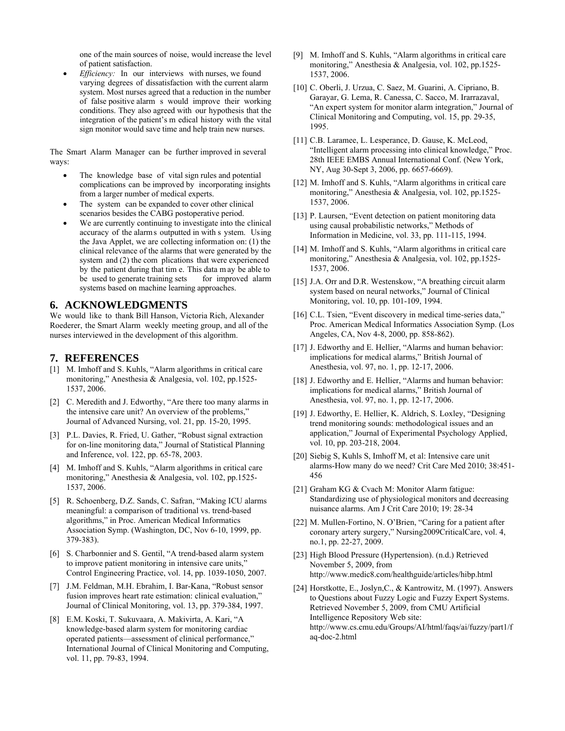one of the main sources of noise, would increase the level of patient satisfaction.

 *Efficiency:* In our interviews with nurses, we found varying degrees of dissatisfaction with the current alarm system. Most nurses agreed that a reduction in the number of false positive alarm s would improve their working conditions. They also agreed with our hypothesis that the integration of the patient's m edical history with the vital sign monitor would save time and help train new nurses.

The Smart Alarm Manager can be further improved in several ways:

- The knowledge base of vital sign rules and potential complications can be improved by incorporating insights from a larger number of medical experts.
- The system can be expanded to cover other clinical scenarios besides the CABG postoperative period.
- We are currently continuing to investigate into the clinical accuracy of the alarms outputted in with s ystem. Using the Java Applet, we are collecting information on: (1) the clinical relevance of the alarms that were generated by the system and (2) the com plications that were experienced by the patient during that tim e. This data m ay be able to be used to generate training sets for improved alarm systems based on machine learning approaches.

#### **6. ACKNOWLEDGMENTS**

We would like to thank Bill Hanson, Victoria Rich, Alexander Roederer, the Smart Alarm weekly meeting group, and all of the nurses interviewed in the development of this algorithm.

#### **7. REFERENCES**

- [1] M. Imhoff and S. Kuhls, "Alarm algorithms in critical care monitoring," Anesthesia & Analgesia, vol. 102, pp.1525- 1537, 2006.
- [2] C. Meredith and J. Edworthy, "Are there too many alarms in the intensive care unit? An overview of the problems," Journal of Advanced Nursing, vol. 21, pp. 15-20, 1995.
- [3] P.L. Davies, R. Fried, U. Gather, "Robust signal extraction for on-line monitoring data," Journal of Statistical Planning and Inference, vol. 122, pp. 65-78, 2003.
- [4] M. Imhoff and S. Kuhls, "Alarm algorithms in critical care monitoring," Anesthesia & Analgesia, vol. 102, pp.1525- 1537, 2006.
- [5] R. Schoenberg, D.Z. Sands, C. Safran, "Making ICU alarms meaningful: a comparison of traditional vs. trend-based algorithms," in Proc. American Medical Informatics Association Symp. (Washington, DC, Nov 6-10, 1999, pp. 379-383).
- [6] S. Charbonnier and S. Gentil, "A trend-based alarm system to improve patient monitoring in intensive care units," Control Engineering Practice, vol. 14, pp. 1039-1050, 2007.
- [7] J.M. Feldman, M.H. Ebrahim, I. Bar-Kana, "Robust sensor fusion improves heart rate estimation: clinical evaluation," Journal of Clinical Monitoring, vol. 13, pp. 379-384, 1997.
- [8] E.M. Koski, T. Sukuvaara, A. Makivirta, A. Kari, "A knowledge-based alarm system for monitoring cardiac operated patients—assessment of clinical performance," International Journal of Clinical Monitoring and Computing, vol. 11, pp. 79-83, 1994.
- [9] M. Imhoff and S. Kuhls, "Alarm algorithms in critical care monitoring," Anesthesia & Analgesia, vol. 102, pp.1525- 1537, 2006.
- [10] C. Oberli, J. Urzua, C. Saez, M. Guarini, A. Cipriano, B. Garayar, G. Lema, R. Canessa, C. Sacco, M. Irarrazaval, "An expert system for monitor alarm integration," Journal of Clinical Monitoring and Computing, vol. 15, pp. 29-35, 1995.
- [11] C.B. Laramee, L. Lesperance, D. Gause, K. McLeod, "Intelligent alarm processing into clinical knowledge," Proc. 28th IEEE EMBS Annual International Conf. (New York, NY, Aug 30-Sept 3, 2006, pp. 6657-6669).
- [12] M. Imhoff and S. Kuhls, "Alarm algorithms in critical care monitoring," Anesthesia & Analgesia, vol. 102, pp.1525- 1537, 2006.
- [13] P. Laursen, "Event detection on patient monitoring data using causal probabilistic networks," Methods of Information in Medicine, vol. 33, pp. 111-115, 1994.
- [14] M. Imhoff and S. Kuhls, "Alarm algorithms in critical care monitoring," Anesthesia & Analgesia, vol. 102, pp.1525- 1537, 2006.
- [15] J.A. Orr and D.R. Westenskow, "A breathing circuit alarm system based on neural networks," Journal of Clinical Monitoring, vol. 10, pp. 101-109, 1994.
- [16] C.L. Tsien, "Event discovery in medical time-series data," Proc. American Medical Informatics Association Symp. (Los Angeles, CA, Nov 4-8, 2000, pp. 858-862).
- [17] J. Edworthy and E. Hellier, "Alarms and human behavior: implications for medical alarms," British Journal of Anesthesia, vol. 97, no. 1, pp. 12-17, 2006.
- [18] J. Edworthy and E. Hellier, "Alarms and human behavior: implications for medical alarms," British Journal of Anesthesia, vol. 97, no. 1, pp. 12-17, 2006.
- [19] J. Edworthy, E. Hellier, K. Aldrich, S. Loxley, "Designing trend monitoring sounds: methodological issues and an application," Journal of Experimental Psychology Applied, vol. 10, pp. 203-218, 2004.
- [20] Siebig S, Kuhls S, Imhoff M, et al: Intensive care unit alarms-How many do we need? Crit Care Med 2010; 38:451- 456
- [21] Graham KG & Cvach M: Monitor Alarm fatigue: Standardizing use of physiological monitors and decreasing nuisance alarms. Am J Crit Care 2010; 19: 28-34
- [22] M. Mullen-Fortino, N. O'Brien, "Caring for a patient after coronary artery surgery," Nursing2009CriticalCare, vol. 4, no.1, pp. 22-27, 2009.
- [23] High Blood Pressure (Hypertension). (n.d.) Retrieved November 5, 2009, from http://www.medic8.com/healthguide/articles/hibp.html
- [24] Horstkotte, E., Joslyn,C., & Kantrowitz, M. (1997). Answers to Questions about Fuzzy Logic and Fuzzy Expert Systems. Retrieved November 5, 2009, from CMU Artificial Intelligence Repository Web site: http://www.cs.cmu.edu/Groups/AI/html/faqs/ai/fuzzy/part1/f aq-doc-2.html